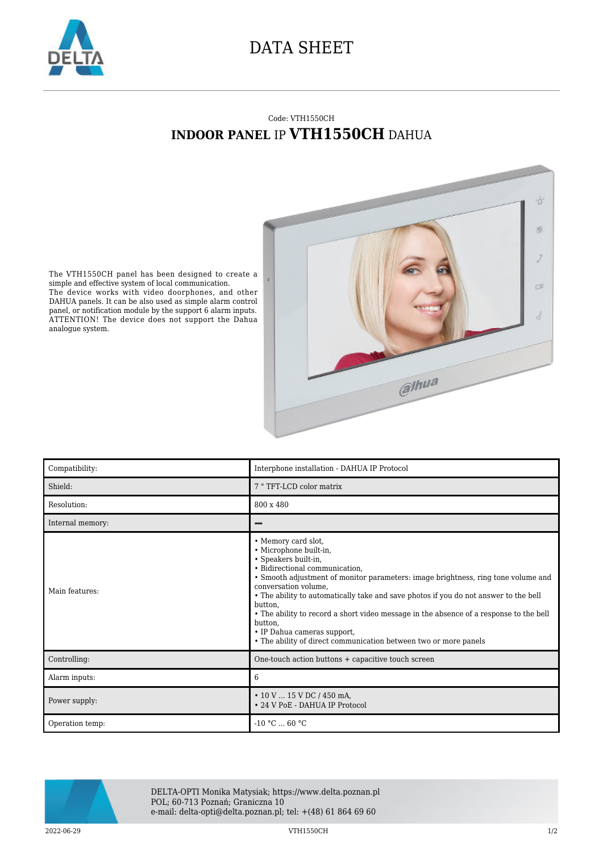

## DATA SHEET

## Code: VTH1550CH **INDOOR PANEL** IP **VTH1550CH** DAHUA



The VTH1550CH panel has been designed to create a simple and effective system of local communication. The device works with video doorphones, and other DAHUA panels. It can be also used as simple alarm control panel, or notification module by the support 6 alarm inputs. ATTENTION! The device does not support the Dahua analogue system.

| Compatibility:   | Interphone installation - DAHUA IP Protocol                                                                                                                                                                                                                                                                                                                                                                                                                                                                                     |
|------------------|---------------------------------------------------------------------------------------------------------------------------------------------------------------------------------------------------------------------------------------------------------------------------------------------------------------------------------------------------------------------------------------------------------------------------------------------------------------------------------------------------------------------------------|
| Shield:          | 7 " TFT-LCD color matrix                                                                                                                                                                                                                                                                                                                                                                                                                                                                                                        |
| Resolution:      | 800 x 480                                                                                                                                                                                                                                                                                                                                                                                                                                                                                                                       |
| Internal memory: |                                                                                                                                                                                                                                                                                                                                                                                                                                                                                                                                 |
| Main features:   | • Memory card slot,<br>· Microphone built-in,<br>• Speakers built-in,<br>· Bidirectional communication,<br>• Smooth adjustment of monitor parameters: image brightness, ring tone volume and<br>conversation volume,<br>• The ability to automatically take and save photos if you do not answer to the bell<br>button.<br>• The ability to record a short video message in the absence of a response to the bell<br>button.<br>• IP Dahua cameras support,<br>• The ability of direct communication between two or more panels |
| Controlling:     | One-touch action buttons + capacitive touch screen                                                                                                                                                                                                                                                                                                                                                                                                                                                                              |
| Alarm inputs:    | 6                                                                                                                                                                                                                                                                                                                                                                                                                                                                                                                               |
| Power supply:    | $\cdot$ 10 V  15 V DC / 450 mA,<br>• 24 V PoE - DAHUA IP Protocol                                                                                                                                                                                                                                                                                                                                                                                                                                                               |
| Operation temp:  | $-10 °C$ 60 °C                                                                                                                                                                                                                                                                                                                                                                                                                                                                                                                  |



DELTA-OPTI Monika Matysiak; https://www.delta.poznan.pl POL; 60-713 Poznań; Graniczna 10 e-mail: delta-opti@delta.poznan.pl; tel: +(48) 61 864 69 60

2022-06-29 VTH1550CH 1/2